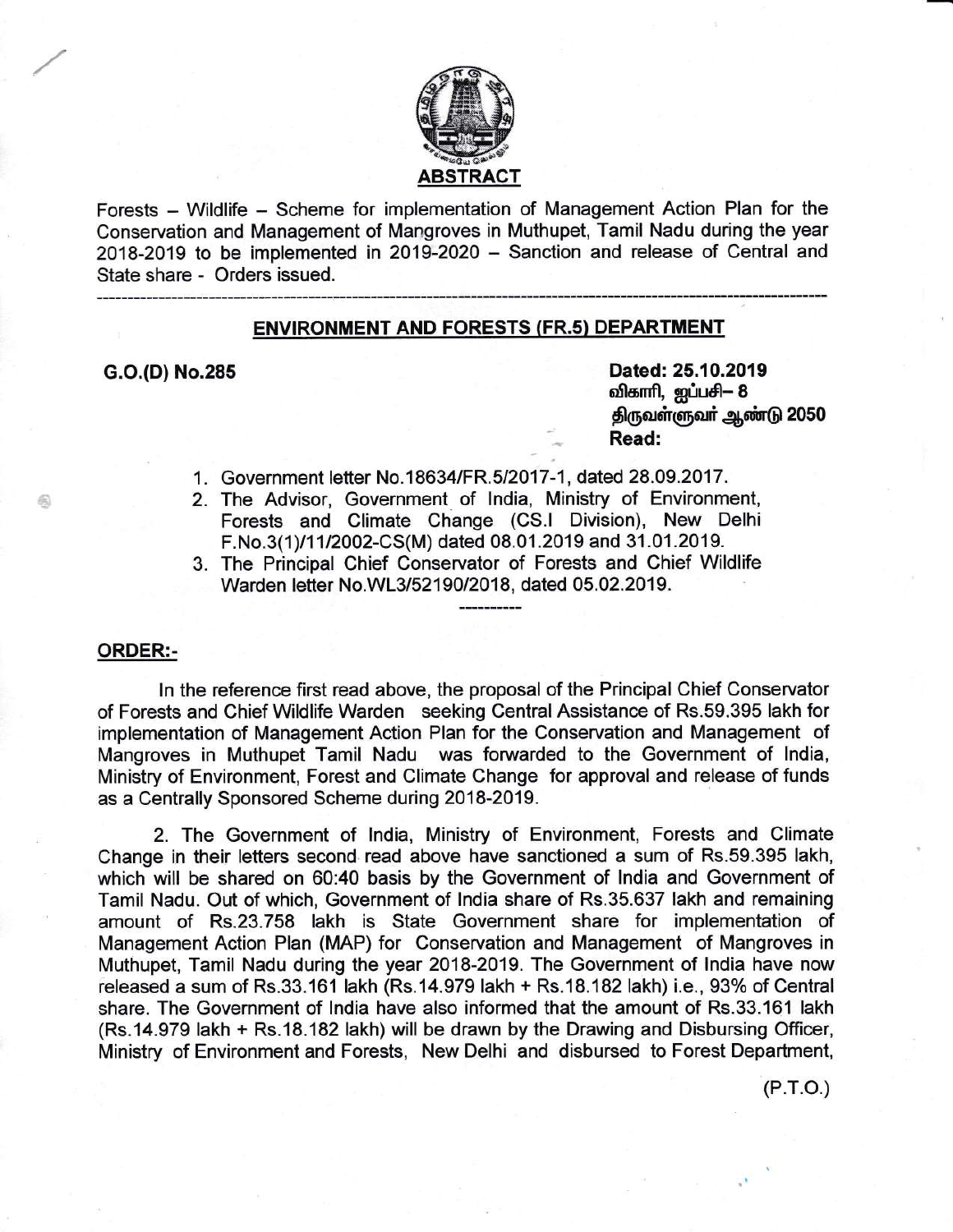

Forests - Wildlife - Scheme for implementation of Management Action Plan for the Conservation and Management of Mangroves in Muthupet, Tamil Nadu during the year 2018-2019 to be implemented in 2019-2020 - Sanction and release of Central and State share - Orders issued.

# ENVIRONMENT AND FORESTS (FR.s} DEPARTMENT

G.O.(D) No.285 Dated: 25.10.2019 விகாரி, ஐப்பசி— 8 திருவள்ளுவர் ஆண்டு 2050 Read:

- 1. Government letter No.18634/FR.5/2017-1, dated 28.09.2017.
- 2. The Advisor, Government of lndia, Ministry of Environment, Forests and Climate Change (CS.l Division), New Delhi F.No.3(1)/11/2002-CS(M) dated 08.01.2019 and 31.01.2019.
- 3. The Principal Chief Conservator of Forests and Chief Wildlife Warden letter No.WL3/52190/2018, dated 05.02.2019.

## ORDER:-

ln the reference first read above, the proposal of the Principal Chief Conservator of Forests and Chief Wildlife Warden seeking Central Assistance of Rs.59.395 lakh for implementation of Management Action Plan for the Conservation and Management of Mangroves in Muthupet Tamil Nadu was forwarded to the Government of lndia, Ministry of Environment, Forest and Climate Change for approval and release of funds as a Centrally Sponsored Scheme during 2018-2019.

2. The Government of lndia, Ministry of Environment, Forests and Climate Change in their letters second read above have sanctioned a sum of Rs.59.395 lakh, which will be shared on 60:40 basis by the Government of lndia and Government of Tamil Nadu. Out of which, Government of lndia share of Rs.35.637 lakh and remaining amount of Rs.23.758 lakh is State Government share for implementation of Management Action Plan (MAP) for Conservation and Management of Mangroves in Muthupet, Tamil Nadu during the year 2018-2019. The Government of lndia have now released a sum of Rs.33.161 lakh (Rs.14.979 lakh + Rs.18.182 lakh) i.e., 93% of Central share. The Government of India have also informed that the amount of Rs.33.161 lakh (Rs.14.979 lakh + Rs.18.182lakh) will be drawn by the Drawing and Disbursing Officer, Ministry of Environment and Forests, New Delhi and disbursed to Forest Department,

(P.r.o.)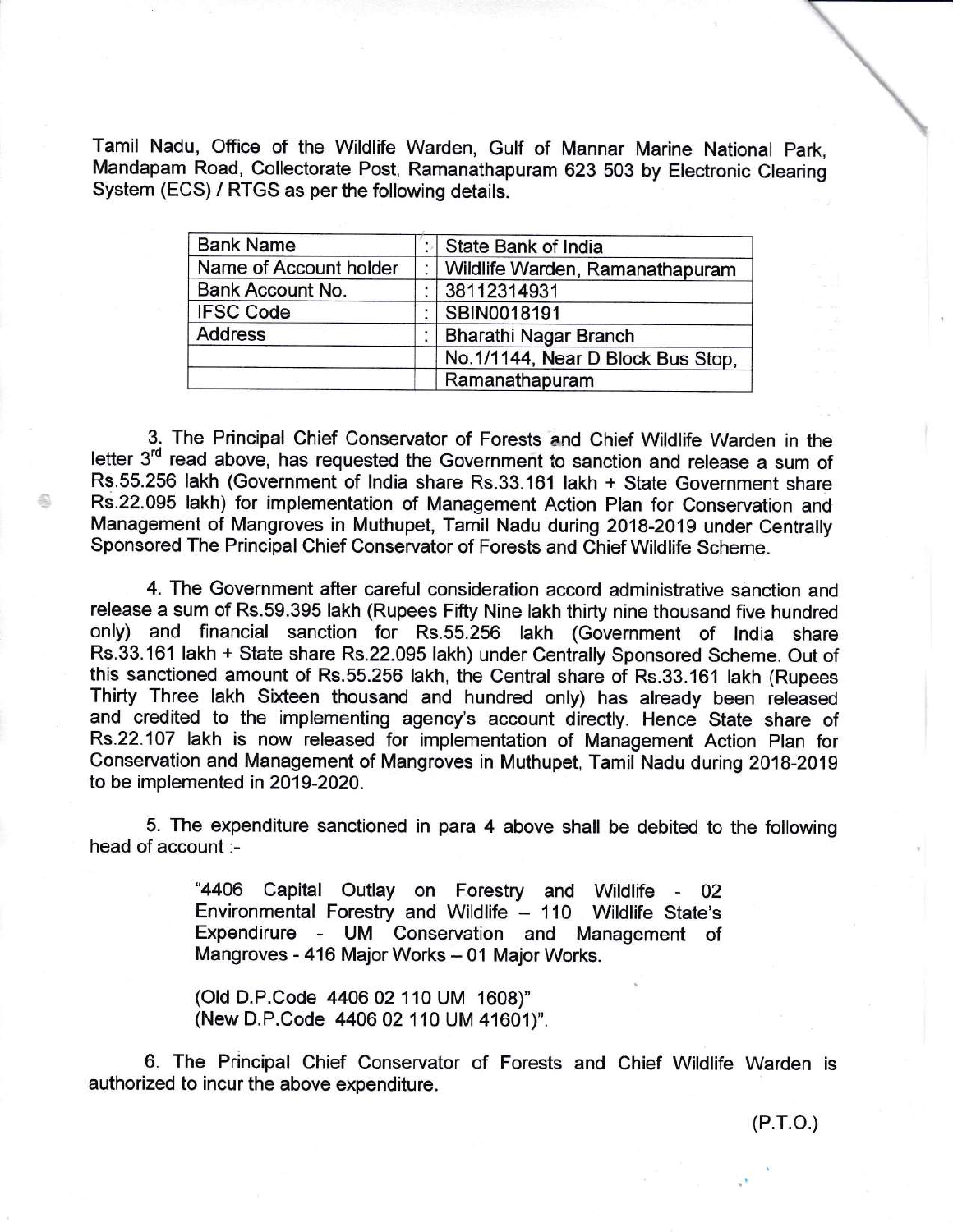Tamil Nadu, Office of the Wildlife Warden, Gulf of Mannar Marine National Park, Mandapam Road, Collectorate Post, Ramanathapuram 623 503 by Electronic Clearing System (ECS) / RTGS as per the following details.

| <b>Bank Name</b>       | State Bank of India               |
|------------------------|-----------------------------------|
| Name of Account holder | Wildlife Warden, Ramanathapuram   |
| Bank Account No.       | 38112314931                       |
| <b>IFSC Code</b>       | SBIN0018191                       |
| <b>Address</b>         | Bharathi Nagar Branch             |
|                        | No.1/1144, Near D Block Bus Stop, |
|                        | Ramanathapuram                    |

3. The Principal Chief Conservator of Forests and Chief Wildlife Warden in the letter 3<sup>rd</sup> read above, has requested the Government to sanction and release a sum of Rs.55.256 lakh (Government of lndia share Rs.33.161 lakh + State Government share Rs.22.095 lakh) for implementation of Management Action Plan for Conservation and Management of Mangroves in Muthupet, Tamil Nadu during 2018-2019 under Centrally Sponsored The Principal Chief Conservator of Forests and Chief Wildlife Scheme.

€

4. The Government after careful consideration accord administrative sanction and release a sum of Rs.59.395 lakh (Rupees Fifty Nine lakh thirty nine thousand five hundred only) and financial sanction for Rs.55.256 lakh (Government of India share Rs.33.161 lakh + State share Rs.22.095 lakh) under Centrally Sponsored Scheme. Out of this sanctioned amount of Rs.55.256 lakh, the Central share of Rs.33.161 lakh (Rupees Thirty Three lakh Sixteen thousand and hundred only) has already been released and credited to the implementing agency's account directly. Hence State share of Rs.22.107 lakh is now released for implementation of Management Action Plan for Conservation and Management of Mangroves in Muthupet, Tamil Nadu during 2018-2019 to be implemented in 2019-202A.

5. The expenditure sanctioned in para 4 above shall be debited to the following head of account :-

> "4406 Capital Outlay on Forestry and Wildlife - <sup>02</sup> Environmental Forestry and Wildlife - 110 Wildlife State's Expendirure - UM Conservation and Management of Mangroves - 416 Major Works - 01 Major Works.

(Old D.P.Code 4406 02110 UM 1608)" (New D.P.Code 4406 02 110 UM 41601)".

6. The Principal Chief Conservator of Forests and Chief Wildlife Warden is authorized to incur the above expenditure.

 $\overline{\phantom{a}}$  $\overline{a}$